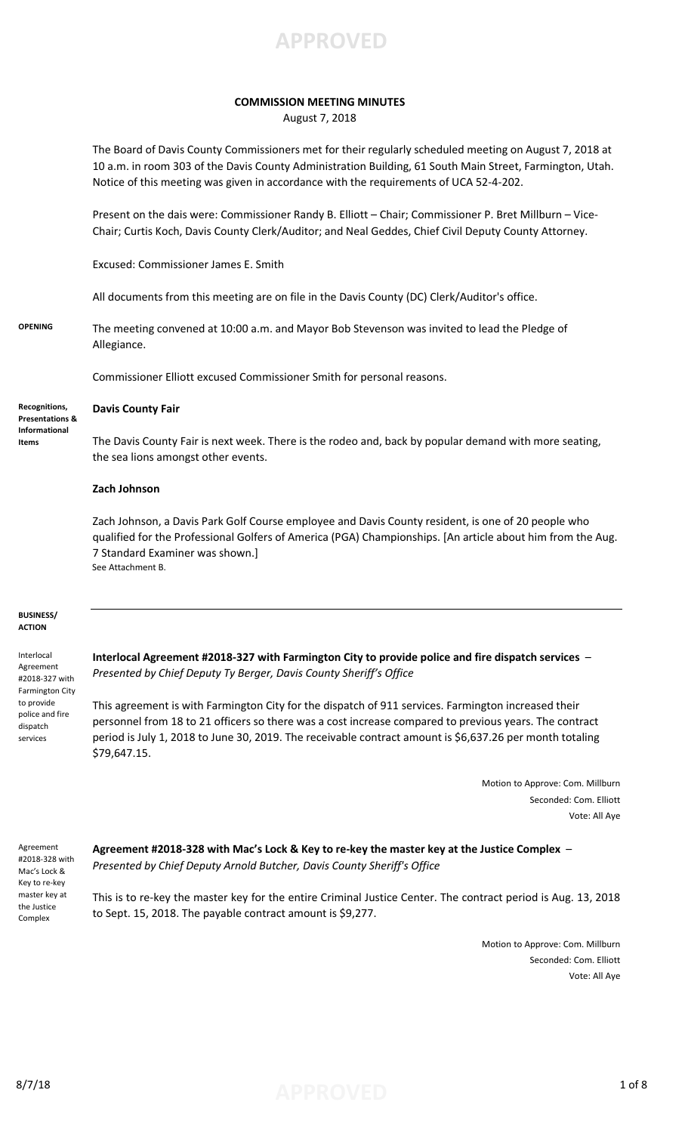

### **COMMISSION MEETING MINUTES**

August 7, 2018

The Board of Davis County Commissioners met for their regularly scheduled meeting on August 7, 2018 at 10 a.m. in room 303 of the Davis County Administration Building, 61 South Main Street, Farmington, Utah. Notice of this meeting was given in accordance with the requirements of UCA 52-4-202.

Present on the dais were: Commissioner Randy B. Elliott – Chair; Commissioner P. Bret Millburn – Vice-Chair; Curtis Koch, Davis County Clerk/Auditor; and Neal Geddes, Chief Civil Deputy County Attorney.

Excused: Commissioner James E. Smith

All documents from this meeting are on file in the Davis County (DC) Clerk/Auditor's office.

**OPENING** The meeting convened at 10:00 a.m. and Mayor Bob Stevenson was invited to lead the Pledge of Allegiance.

Commissioner Elliott excused Commissioner Smith for personal reasons.

**Recognitions, Presentations & Informational Items**

**Davis County Fair**

The Davis County Fair is next week. There is the rodeo and, back by popular demand with more seating, the sea lions amongst other events.

#### **Zach Johnson**

Zach Johnson, a Davis Park Golf Course employee and Davis County resident, is one of 20 people who qualified for the Professional Golfers of America (PGA) Championships. [An article about him from the Aug. 7 Standard Examiner was shown.] See Attachment B.

#### **BUSINESS/ ACTION**

Interlocal Agreement #2018-327 with Farmington City to provide police and fire dispatch services

**Interlocal Agreement #2018-327 with Farmington City to provide police and fire dispatch services** – *Presented by Chief Deputy Ty Berger, Davis County Sheriff's Office*

This agreement is with Farmington City for the dispatch of 911 services. Farmington increased their personnel from 18 to 21 officers so there was a cost increase compared to previous years. The contract period is July 1, 2018 to June 30, 2019. The receivable contract amount is \$6,637.26 per month totaling \$79,647.15.

> Motion to Approve: Com. Millburn Seconded: Com. Elliott Vote: All Aye

Agreement #2018-328 with Mac's Lock & Key to re-key master key at the Justice Complex

**Agreement #2018-328 with Mac's Lock & Key to re-key the master key at the Justice Complex** – *Presented by Chief Deputy Arnold Butcher, Davis County Sheriff's Office*

This is to re-key the master key for the entire Criminal Justice Center. The contract period is Aug. 13, 2018 to Sept. 15, 2018. The payable contract amount is \$9,277.

> Motion to Approve: Com. Millburn Seconded: Com. Elliott Vote: All Aye

## 8/7/18 **APPROVED** 1 of 8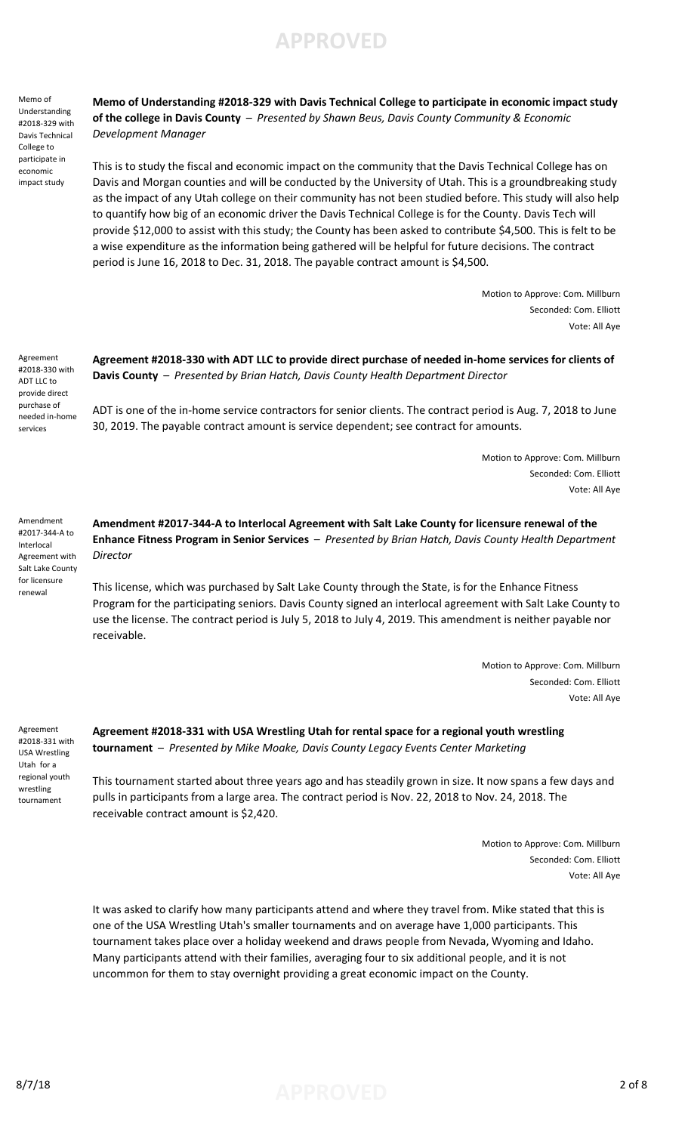Memo of Understanding #2018-329 with Davis Technical College to participate in economic impact study

**Memo of Understanding #2018-329 with Davis Technical College to participate in economic impact study of the college in Davis County** – *Presented by Shawn Beus, Davis County Community & Economic Development Manager*

This is to study the fiscal and economic impact on the community that the Davis Technical College has on Davis and Morgan counties and will be conducted by the University of Utah. This is a groundbreaking study as the impact of any Utah college on their community has not been studied before. This study will also help to quantify how big of an economic driver the Davis Technical College is for the County. Davis Tech will provide \$12,000 to assist with this study; the County has been asked to contribute \$4,500. This is felt to be a wise expenditure as the information being gathered will be helpful for future decisions. The contract period is June 16, 2018 to Dec. 31, 2018. The payable contract amount is \$4,500.

> Motion to Approve: Com. Millburn Seconded: Com. Elliott Vote: All Aye

Agreement #2018-330 with ADT LLC to provide direct purchase of needed in-home services

Amendment #2017-344-A to Interlocal Agreement with Salt Lake County for licensure renewal

**Agreement #2018-330 with ADT LLC to provide direct purchase of needed in-home services for clients of Davis County** – *Presented by Brian Hatch, Davis County Health Department Director*

ADT is one of the in-home service contractors for senior clients. The contract period is Aug. 7, 2018 to June 30, 2019. The payable contract amount is service dependent; see contract for amounts.

> Motion to Approve: Com. Millburn Seconded: Com. Elliott Vote: All Aye

**Amendment #2017-344-A to Interlocal Agreement with Salt Lake County for licensure renewal of the Enhance Fitness Program in Senior Services** – *Presented by Brian Hatch, Davis County Health Department Director*

This license, which was purchased by Salt Lake County through the State, is for the Enhance Fitness Program for the participating seniors. Davis County signed an interlocal agreement with Salt Lake County to use the license. The contract period is July 5, 2018 to July 4, 2019. This amendment is neither payable nor receivable.

> Motion to Approve: Com. Millburn Seconded: Com. Elliott Vote: All Aye

Agreement #2018-331 with USA Wrestling Utah for a regional youth wrestling tournament

**Agreement #2018-331 with USA Wrestling Utah for rental space for a regional youth wrestling tournament** – *Presented by Mike Moake, Davis County Legacy Events Center Marketing*

This tournament started about three years ago and has steadily grown in size. It now spans a few days and pulls in participants from a large area. The contract period is Nov. 22, 2018 to Nov. 24, 2018. The receivable contract amount is \$2,420.

> Motion to Approve: Com. Millburn Seconded: Com. Elliott Vote: All Aye

It was asked to clarify how many participants attend and where they travel from. Mike stated that this is one of the USA Wrestling Utah's smaller tournaments and on average have 1,000 participants. This tournament takes place over a holiday weekend and draws people from Nevada, Wyoming and Idaho. Many participants attend with their families, averaging four to six additional people, and it is not uncommon for them to stay overnight providing a great economic impact on the County.

8/7/18 **APPROVED** 2 of 8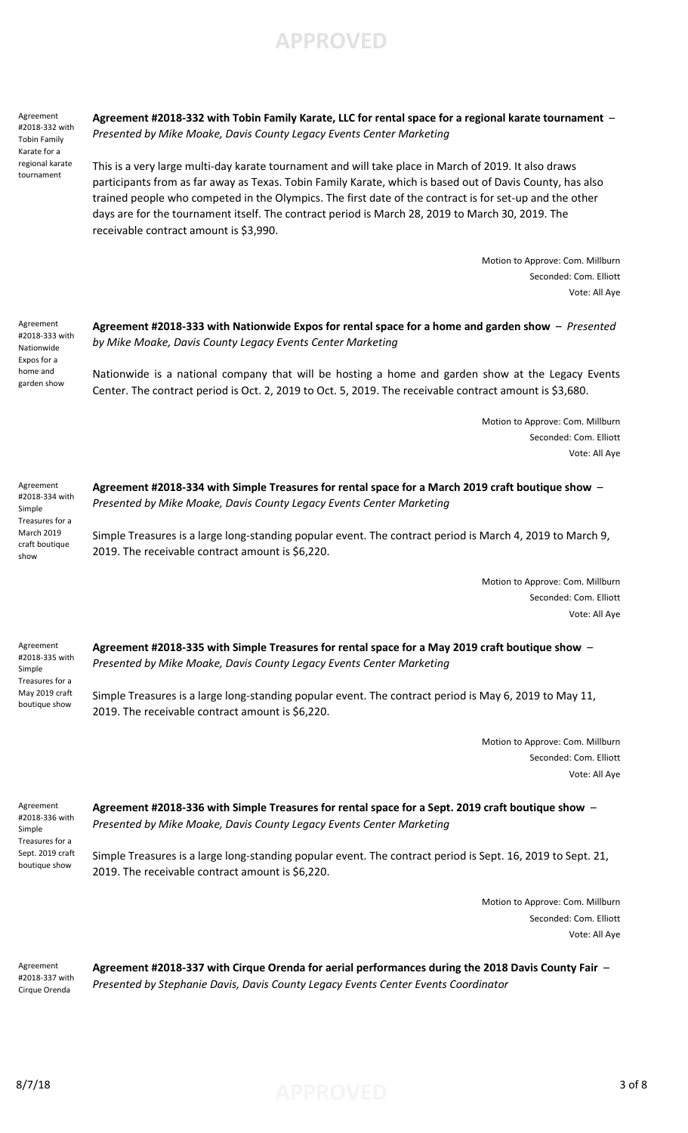Agreement #2018-332 with Tobin Family Karate for a regional karate tournament

**Agreement #2018-332 with Tobin Family Karate, LLC for rental space for a regional karate tournament** – *Presented by Mike Moake, Davis County Legacy Events Center Marketing*

This is a very large multi-day karate tournament and will take place in March of 2019. It also draws participants from as far away as Texas. Tobin Family Karate, which is based out of Davis County, has also trained people who competed in the Olympics. The first date of the contract is for set-up and the other days are for the tournament itself. The contract period is March 28, 2019 to March 30, 2019. The receivable contract amount is \$3,990.

> Motion to Approve: Com. Millburn Seconded: Com. Elliott Vote: All Aye

Agreement #2018-333 with Nationwide Expos for a home and garden show

**Agreement #2018-333 with Nationwide Expos for rental space for a home and garden show** – *Presented by Mike Moake, Davis County Legacy Events Center Marketing*

Nationwide is a national company that will be hosting a home and garden show at the Legacy Events Center. The contract period is Oct. 2, 2019 to Oct. 5, 2019. The receivable contract amount is \$3,680.

> Motion to Approve: Com. Millburn Seconded: Com. Elliott Vote: All Aye

Agreement #2018-334 with Simple Treasures for a March 2019 craft boutique show

**Agreement #2018-334 with Simple Treasures for rental space for a March 2019 craft boutique show** – *Presented by Mike Moake, Davis County Legacy Events Center Marketing*

Simple Treasures is a large long-standing popular event. The contract period is March 4, 2019 to March 9, 2019. The receivable contract amount is \$6,220.

> Motion to Approve: Com. Millburn Seconded: Com. Elliott Vote: All Aye

Agreement #2018-335 with Simple Treasures for a May 2019 craft boutique show

**Agreement #2018-335 with Simple Treasures for rental space for a May 2019 craft boutique show** – *Presented by Mike Moake, Davis County Legacy Events Center Marketing*

Simple Treasures is a large long-standing popular event. The contract period is May 6, 2019 to May 11, 2019. The receivable contract amount is \$6,220.

> Motion to Approve: Com. Millburn Seconded: Com. Elliott Vote: All Aye

Agreement #2018-336 with Simple Treasures for a Sept. 2019 craft boutique show

**Agreement #2018-336 with Simple Treasures for rental space for a Sept. 2019 craft boutique show** – *Presented by Mike Moake, Davis County Legacy Events Center Marketing*

Simple Treasures is a large long-standing popular event. The contract period is Sept. 16, 2019 to Sept. 21, 2019. The receivable contract amount is \$6,220.

> Motion to Approve: Com. Millburn Seconded: Com. Elliott Vote: All Aye

Agreement #2018-337 with Cirque Orenda

**Agreement #2018-337 with Cirque Orenda for aerial performances during the 2018 Davis County Fair** – *Presented by Stephanie Davis, Davis County Legacy Events Center Events Coordinator*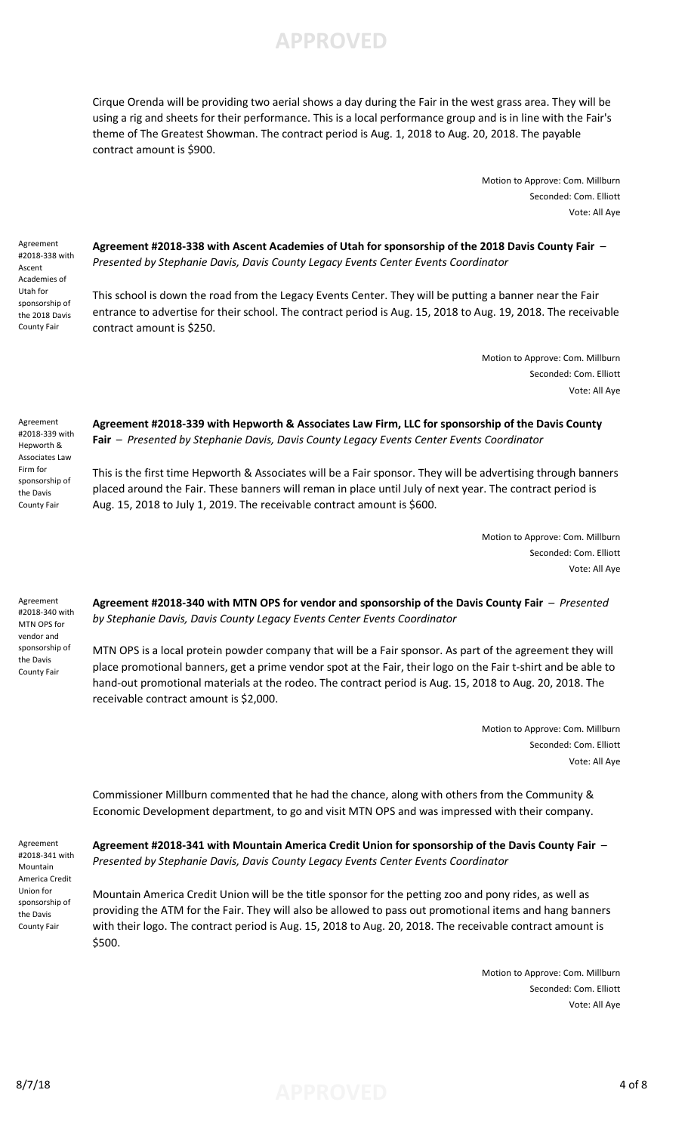

Cirque Orenda will be providing two aerial shows a day during the Fair in the west grass area. They will be using a rig and sheets for their performance. This is a local performance group and is in line with the Fair's theme of The Greatest Showman. The contract period is Aug. 1, 2018 to Aug. 20, 2018. The payable contract amount is \$900.

> Motion to Approve: Com. Millburn Seconded: Com. Elliott Vote: All Aye

Agreement #2018-338 with Ascent Academies of Utah for sponsorship of the 2018 Davis County Fair

**Agreement #2018-338 with Ascent Academies of Utah for sponsorship of the 2018 Davis County Fair** – *Presented by Stephanie Davis, Davis County Legacy Events Center Events Coordinator*

This school is down the road from the Legacy Events Center. They will be putting a banner near the Fair entrance to advertise for their school. The contract period is Aug. 15, 2018 to Aug. 19, 2018. The receivable contract amount is \$250.

> Motion to Approve: Com. Millburn Seconded: Com. Elliott Vote: All Aye

Agreement #2018-339 with Hepworth & Associates Law Firm for sponsorship of the Davis County Fair

### **Agreement #2018-339 with Hepworth & Associates Law Firm, LLC for sponsorship of the Davis County Fair** – *Presented by Stephanie Davis, Davis County Legacy Events Center Events Coordinator*

This is the first time Hepworth & Associates will be a Fair sponsor. They will be advertising through banners placed around the Fair. These banners will reman in place until July of next year. The contract period is Aug. 15, 2018 to July 1, 2019. The receivable contract amount is \$600.

> Motion to Approve: Com. Millburn Seconded: Com. Elliott Vote: All Aye

Agreement #2018-340 with MTN OPS for vendor and sponsorship of the Davis County Fair

**Agreement #2018-340 with MTN OPS for vendor and sponsorship of the Davis County Fair** – *Presented by Stephanie Davis, Davis County Legacy Events Center Events Coordinator*

MTN OPS is a local protein powder company that will be a Fair sponsor. As part of the agreement they will place promotional banners, get a prime vendor spot at the Fair, their logo on the Fair t-shirt and be able to hand-out promotional materials at the rodeo. The contract period is Aug. 15, 2018 to Aug. 20, 2018. The receivable contract amount is \$2,000.

> Motion to Approve: Com. Millburn Seconded: Com. Elliott Vote: All Aye

Commissioner Millburn commented that he had the chance, along with others from the Community & Economic Development department, to go and visit MTN OPS and was impressed with their company.

Agreement #2018-341 with Mountain America Credit Union for sponsorship of the Davis County Fair

**Agreement #2018-341 with Mountain America Credit Union for sponsorship of the Davis County Fair** – *Presented by Stephanie Davis, Davis County Legacy Events Center Events Coordinator*

Mountain America Credit Union will be the title sponsor for the petting zoo and pony rides, as well as providing the ATM for the Fair. They will also be allowed to pass out promotional items and hang banners with their logo. The contract period is Aug. 15, 2018 to Aug. 20, 2018. The receivable contract amount is \$500.

> Motion to Approve: Com. Millburn Seconded: Com. Elliott Vote: All Aye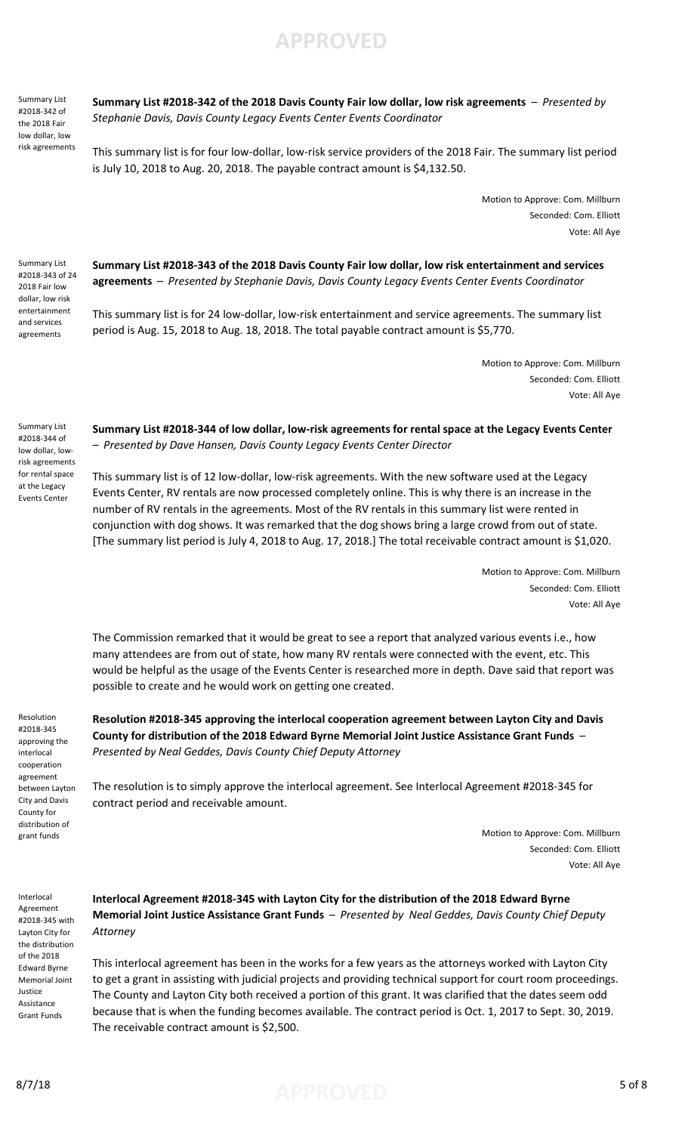Summary List #2018-342 of the 2018 Fair low dollar, low risk agreements

### **Summary List #2018-342 of the 2018 Davis County Fair low dollar, low risk agreements** – *Presented by Stephanie Davis, Davis County Legacy Events Center Events Coordinator*

**APPROVED**

This summary list is for four low-dollar, low-risk service providers of the 2018 Fair. The summary list period is July 10, 2018 to Aug. 20, 2018. The payable contract amount is \$4,132.50.

> Motion to Approve: Com. Millburn Seconded: Com. Elliott Vote: All Aye

Summary List #2018-343 of 24 2018 Fair low dollar, low risk entertainment and services agreements

Summary List #2018-344 of low dollar, lowrisk agreements for rental space at the Legacy Events Center

**Summary List #2018-343 of the 2018 Davis County Fair low dollar, low risk entertainment and services agreements** – *Presented by Stephanie Davis, Davis County Legacy Events Center Events Coordinator*

This summary list is for 24 low-dollar, low-risk entertainment and service agreements. The summary list period is Aug. 15, 2018 to Aug. 18, 2018. The total payable contract amount is \$5,770.

> Motion to Approve: Com. Millburn Seconded: Com. Elliott Vote: All Aye

**Summary List #2018-344 of low dollar, low-risk agreements for rental space at the Legacy Events Center**  – *Presented by Dave Hansen, Davis County Legacy Events Center Director*

This summary list is of 12 low-dollar, low-risk agreements. With the new software used at the Legacy Events Center, RV rentals are now processed completely online. This is why there is an increase in the number of RV rentals in the agreements. Most of the RV rentals in this summary list were rented in conjunction with dog shows. It was remarked that the dog shows bring a large crowd from out of state. [The summary list period is July 4, 2018 to Aug. 17, 2018.] The total receivable contract amount is \$1,020.

> Motion to Approve: Com. Millburn Seconded: Com. Elliott Vote: All Aye

The Commission remarked that it would be great to see a report that analyzed various events i.e., how many attendees are from out of state, how many RV rentals were connected with the event, etc. This would be helpful as the usage of the Events Center is researched more in depth. Dave said that report was possible to create and he would work on getting one created.

Resolution #2018-345 approving the interlocal cooperation agreement between Layton City and Davis County for distribution of grant funds

Interlocal Agreement #2018-345 with Layton City for the distribution of the 2018 Edward Byrne Memorial Joint Justice Assistance Grant Funds

## **Resolution #2018-345 approving the interlocal cooperation agreement between Layton City and Davis County for distribution of the 2018 Edward Byrne Memorial Joint Justice Assistance Grant Funds** – *Presented by Neal Geddes, Davis County Chief Deputy Attorney*

The resolution is to simply approve the interlocal agreement. See Interlocal Agreement #2018-345 for contract period and receivable amount.

> Motion to Approve: Com. Millburn Seconded: Com. Elliott Vote: All Aye

**Interlocal Agreement #2018-345 with Layton City for the distribution of the 2018 Edward Byrne Memorial Joint Justice Assistance Grant Funds** – *Presented by Neal Geddes, Davis County Chief Deputy Attorney*

This interlocal agreement has been in the works for a few years as the attorneys worked with Layton City to get a grant in assisting with judicial projects and providing technical support for court room proceedings. The County and Layton City both received a portion of this grant. It was clarified that the dates seem odd because that is when the funding becomes available. The contract period is Oct. 1, 2017 to Sept. 30, 2019. The receivable contract amount is \$2,500.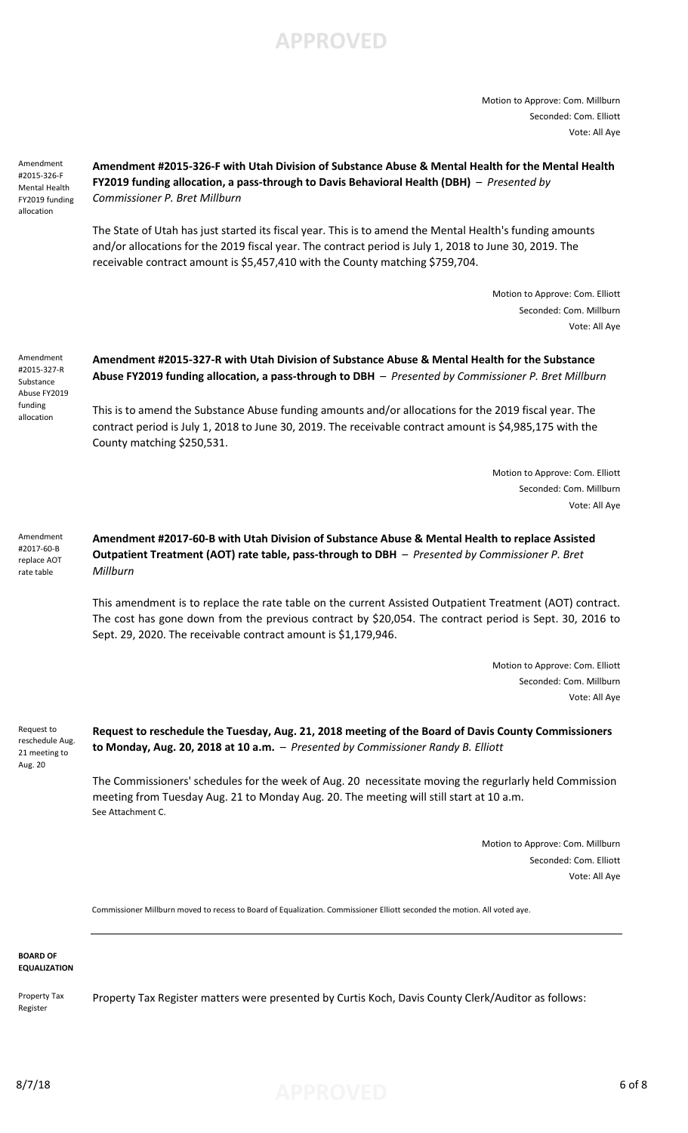Motion to Approve: Com. Millburn Seconded: Com. Elliott Vote: All Aye

Amendment #2015-326-F Mental Health FY2019 funding allocation

## **Amendment #2015-326-F with Utah Division of Substance Abuse & Mental Health for the Mental Health FY2019 funding allocation, a pass-through to Davis Behavioral Health (DBH)** – *Presented by Commissioner P. Bret Millburn*

The State of Utah has just started its fiscal year. This is to amend the Mental Health's funding amounts and/or allocations for the 2019 fiscal year. The contract period is July 1, 2018 to June 30, 2019. The receivable contract amount is \$5,457,410 with the County matching \$759,704.

> Motion to Approve: Com. Elliott Seconded: Com. Millburn Vote: All Aye

Amendment #2015-327-R Substance Abuse FY2019 funding allocation

**Amendment #2015-327-R with Utah Division of Substance Abuse & Mental Health for the Substance Abuse FY2019 funding allocation, a pass-through to DBH** – *Presented by Commissioner P. Bret Millburn*

This is to amend the Substance Abuse funding amounts and/or allocations for the 2019 fiscal year. The contract period is July 1, 2018 to June 30, 2019. The receivable contract amount is \$4,985,175 with the County matching \$250,531.

> Motion to Approve: Com. Elliott Seconded: Com. Millburn Vote: All Aye

**Amendment #2017-60-B with Utah Division of Substance Abuse & Mental Health to replace Assisted Outpatient Treatment (AOT) rate table, pass-through to DBH** – *Presented by Commissioner P. Bret Millburn* Amendment #2017-60-B replace AOT rate table

> This amendment is to replace the rate table on the current Assisted Outpatient Treatment (AOT) contract. The cost has gone down from the previous contract by \$20,054. The contract period is Sept. 30, 2016 to Sept. 29, 2020. The receivable contract amount is \$1,179,946.

> > Motion to Approve: Com. Elliott Seconded: Com. Millburn Vote: All Aye

Request to reschedule Aug. 21 meeting to Aug. 20

**Request to reschedule the Tuesday, Aug. 21, 2018 meeting of the Board of Davis County Commissioners to Monday, Aug. 20, 2018 at 10 a.m.** – *Presented by Commissioner Randy B. Elliott*

The Commissioners' schedules for the week of Aug. 20 necessitate moving the regurlarly held Commission meeting from Tuesday Aug. 21 to Monday Aug. 20. The meeting will still start at 10 a.m. See Attachment C.

> Motion to Approve: Com. Millburn Seconded: Com. Elliott Vote: All Aye

Commissioner Millburn moved to recess to Board of Equalization. Commissioner Elliott seconded the motion. All voted aye.

**BOARD OF EQUALIZATION**

Property Tax Register

Property Tax Register matters were presented by Curtis Koch, Davis County Clerk/Auditor as follows:

8/7/18 **APPROVED** 6 of 8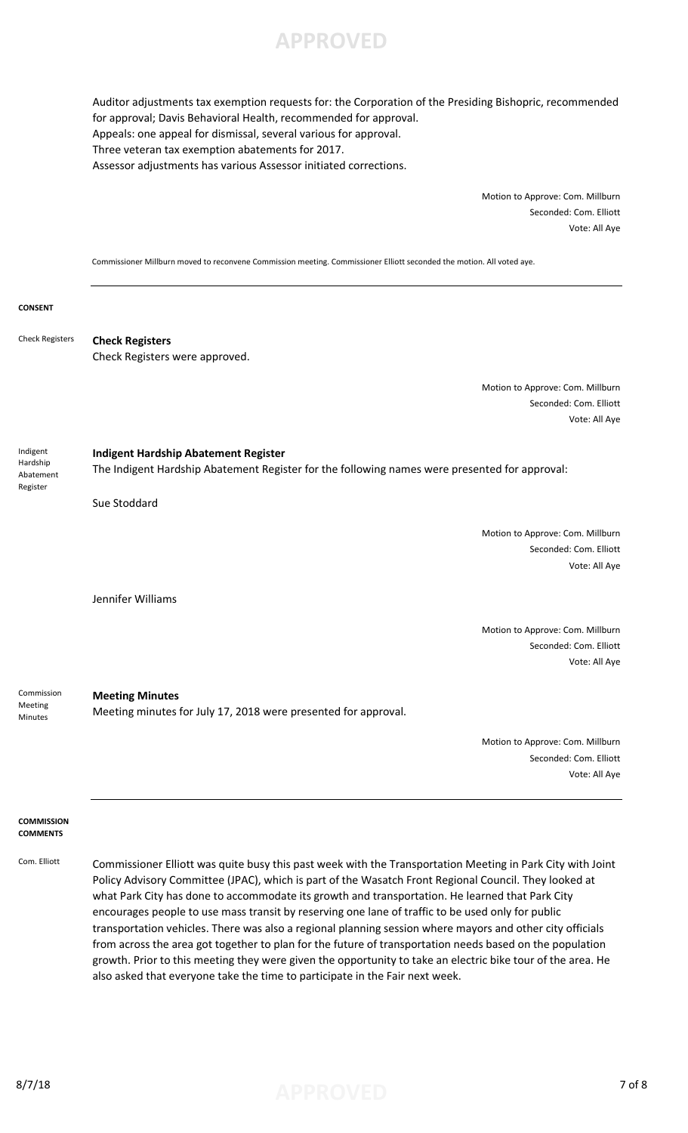

Auditor adjustments tax exemption requests for: the Corporation of the Presiding Bishopric, recommended for approval; Davis Behavioral Health, recommended for approval. Appeals: one appeal for dismissal, several various for approval. Three veteran tax exemption abatements for 2017. Assessor adjustments has various Assessor initiated corrections.

> Motion to Approve: Com. Millburn Seconded: Com. Elliott Vote: All Aye

Commissioner Millburn moved to reconvene Commission meeting. Commissioner Elliott seconded the motion. All voted aye.

#### **CONSENT**

**Check Registers** Check Registers were approved. Check Registers

> Motion to Approve: Com. Millburn Seconded: Com. Elliott Vote: All Aye

Indigent Hardship Abatement Register

**Indigent Hardship Abatement Register** The Indigent Hardship Abatement Register for the following names were presented for approval:

Sue Stoddard

Motion to Approve: Com. Millburn Seconded: Com. Elliott Vote: All Aye

Jennifer Williams

Motion to Approve: Com. Millburn Seconded: Com. Elliott Vote: All Aye

**Meeting Minutes** Meeting minutes for July 17, 2018 were presented for approval. Commission Meeting Minutes

> Motion to Approve: Com. Millburn Seconded: Com. Elliott Vote: All Aye

#### **COMMISSION COMMENTS**

Com. Elliott Commissioner Elliott was quite busy this past week with the Transportation Meeting in Park City with Joint Policy Advisory Committee (JPAC), which is part of the Wasatch Front Regional Council. They looked at what Park City has done to accommodate its growth and transportation. He learned that Park City encourages people to use mass transit by reserving one lane of traffic to be used only for public transportation vehicles. There was also a regional planning session where mayors and other city officials from across the area got together to plan for the future of transportation needs based on the population growth. Prior to this meeting they were given the opportunity to take an electric bike tour of the area. He also asked that everyone take the time to participate in the Fair next week.